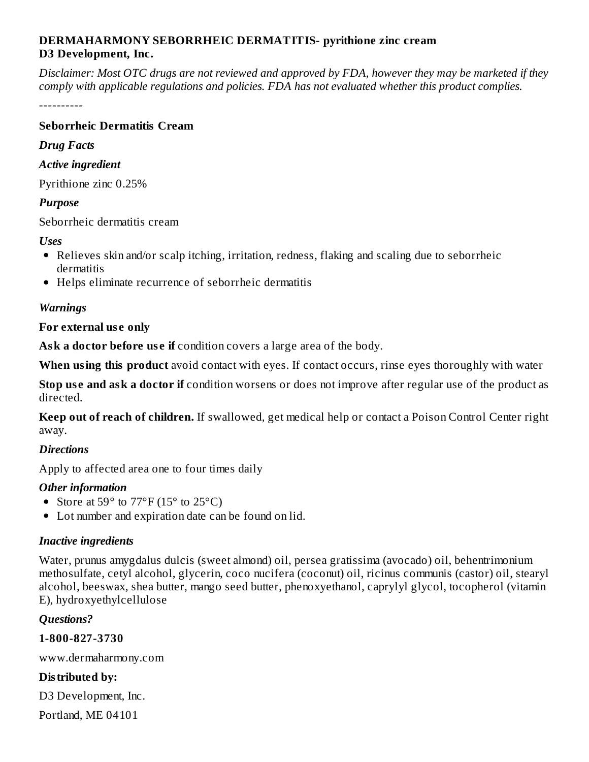### **DERMAHARMONY SEBORRHEIC DERMATITIS- pyrithione zinc cream D3 Development, Inc.**

Disclaimer: Most OTC drugs are not reviewed and approved by FDA, however they may be marketed if they *comply with applicable regulations and policies. FDA has not evaluated whether this product complies.*

----------

### **Seborrheic Dermatitis Cream**

#### *Drug Facts*

### *Active ingredient*

Pyrithione zinc 0.25%

### *Purpose*

Seborrheic dermatitis cream

#### *Uses*

- Relieves skin and/or scalp itching, irritation, redness, flaking and scaling due to seborrheic dermatitis
- Helps eliminate recurrence of seborrheic dermatitis

### *Warnings*

#### **For external us e only**

**Ask a doctor before us e if** condition covers a large area of the body.

**When using this product** avoid contact with eyes. If contact occurs, rinse eyes thoroughly with water

**Stop us e and ask a doctor if** condition worsens or does not improve after regular use of the product as directed.

**Keep out of reach of children.** If swallowed, get medical help or contact a Poison Control Center right away.

### *Directions*

Apply to affected area one to four times daily

### *Other information*

- Store at  $59^{\circ}$  to  $77^{\circ}$ F (15 $^{\circ}$  to 25 $^{\circ}$ C)
- Lot number and expiration date can be found on lid.

# *Inactive ingredients*

Water, prunus amygdalus dulcis (sweet almond) oil, persea gratissima (avocado) oil, behentrimonium methosulfate, cetyl alcohol, glycerin, coco nucifera (coconut) oil, ricinus communis (castor) oil, stearyl alcohol, beeswax, shea butter, mango seed butter, phenoxyethanol, caprylyl glycol, tocopherol (vitamin E), hydroxyethylcellulose

### *Questions?*

**1-800-827-3730**

www.dermaharmony.com

# **Distributed by:**

D3 Development, Inc.

Portland, ME 04101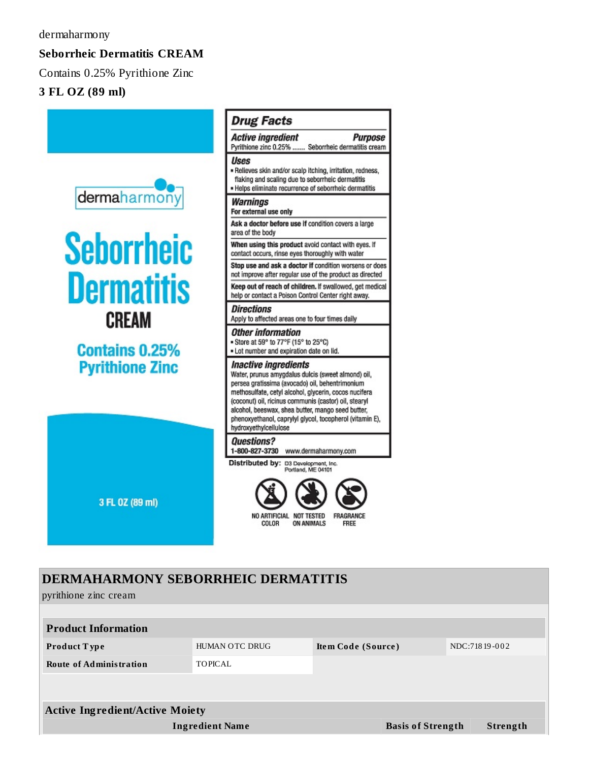# **Seborrheic Dermatitis CREAM**

Contains 0.25% Pyrithione Zinc

## 3 FL OZ (89 ml)



# **DERMAHARMONY SEBORRHEIC DERMATITIS**

pyrithione zinc cream

| <b>Product Information</b>             |                        |                          |               |  |  |  |  |  |
|----------------------------------------|------------------------|--------------------------|---------------|--|--|--|--|--|
| <b>Product Type</b>                    | HUMAN OTC DRUG         | Item Code (Source)       | NDC:71819-002 |  |  |  |  |  |
| <b>Route of Administration</b>         | TOPICAL                |                          |               |  |  |  |  |  |
|                                        |                        |                          |               |  |  |  |  |  |
|                                        |                        |                          |               |  |  |  |  |  |
| <b>Active Ingredient/Active Moiety</b> |                        |                          |               |  |  |  |  |  |
|                                        | <b>Ingredient Name</b> | <b>Basis of Strength</b> | Strength      |  |  |  |  |  |
|                                        |                        |                          |               |  |  |  |  |  |